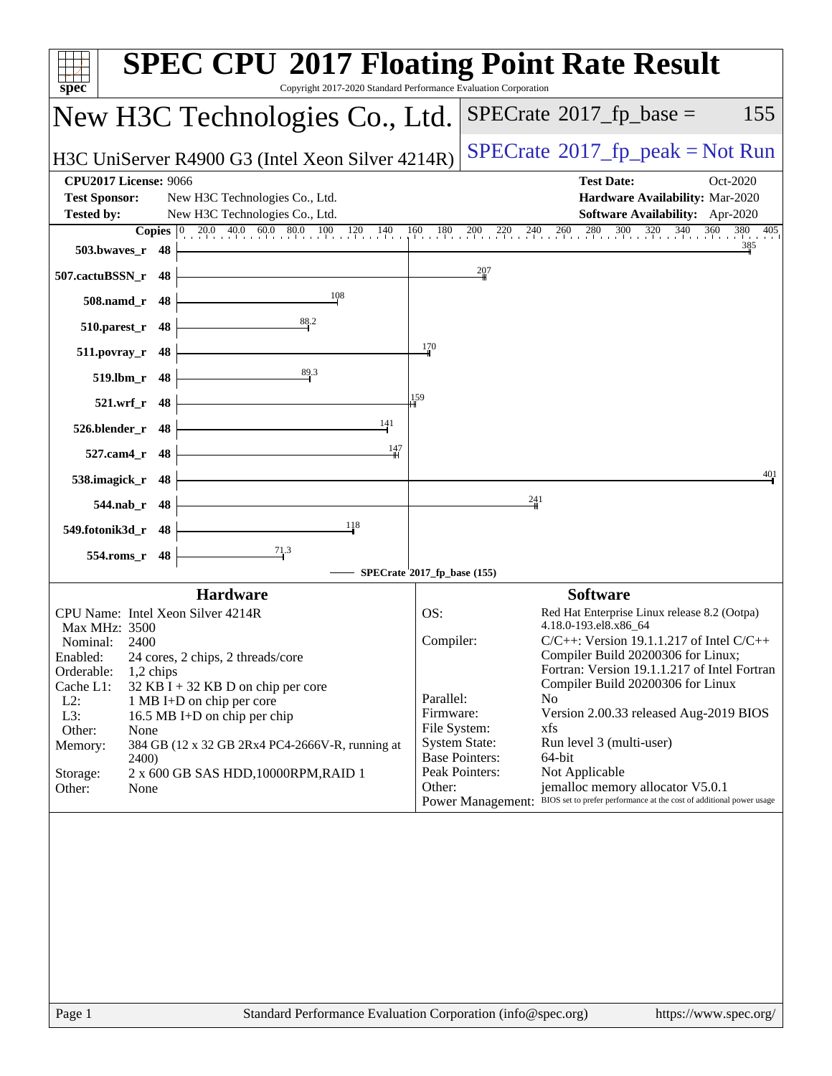| spec                                                                                                                                                                                                                                                                                  | <b>SPEC CPU®2017 Floating Point Rate Result</b><br>Copyright 2017-2020 Standard Performance Evaluation Corporation                                                                                                                                                                                                                                          |
|---------------------------------------------------------------------------------------------------------------------------------------------------------------------------------------------------------------------------------------------------------------------------------------|-------------------------------------------------------------------------------------------------------------------------------------------------------------------------------------------------------------------------------------------------------------------------------------------------------------------------------------------------------------|
| New H3C Technologies Co., Ltd.                                                                                                                                                                                                                                                        | $SPECrate^{\circledast}2017$ _fp_base =<br>155                                                                                                                                                                                                                                                                                                              |
| H3C UniServer R4900 G3 (Intel Xeon Silver 4214R)                                                                                                                                                                                                                                      | $SPECrate^{\circ}2017rfp peak = Not Run$                                                                                                                                                                                                                                                                                                                    |
| <b>CPU2017 License: 9066</b><br><b>Test Sponsor:</b><br>New H3C Technologies Co., Ltd.<br><b>Tested by:</b><br>New H3C Technologies Co., Ltd.<br><b>Copies</b> 0 20.0 40.0 60.0 80.0 100 120 140                                                                                      | <b>Test Date:</b><br>Oct-2020<br>Hardware Availability: Mar-2020<br>Software Availability: Apr-2020<br>160<br>180<br>$240 \overline{\smash)260} \overline{\smash)280}$<br>300<br>$320 \t340$<br>360<br>380 405<br>$^{200}$<br>$^{220}$                                                                                                                      |
| 503.bwayes_r 48                                                                                                                                                                                                                                                                       | 385                                                                                                                                                                                                                                                                                                                                                         |
| 507.cactuBSSN_r 48<br>108                                                                                                                                                                                                                                                             | 207                                                                                                                                                                                                                                                                                                                                                         |
| 508.namd_r 48<br>88.2<br>510.parest_r 48                                                                                                                                                                                                                                              |                                                                                                                                                                                                                                                                                                                                                             |
| 48<br>511.povray_r                                                                                                                                                                                                                                                                    | 170                                                                                                                                                                                                                                                                                                                                                         |
| 89.3<br>519.lbm_r 48                                                                                                                                                                                                                                                                  |                                                                                                                                                                                                                                                                                                                                                             |
| 521.wrf_r 48<br>141                                                                                                                                                                                                                                                                   | 159                                                                                                                                                                                                                                                                                                                                                         |
| 48<br>526.blender_r<br>$\frac{147}{2}$<br>527.cam4_r 48                                                                                                                                                                                                                               |                                                                                                                                                                                                                                                                                                                                                             |
| 538.imagick_r 48                                                                                                                                                                                                                                                                      | 401                                                                                                                                                                                                                                                                                                                                                         |
| 544.nab_r 48                                                                                                                                                                                                                                                                          | $\frac{241}{5}$                                                                                                                                                                                                                                                                                                                                             |
| 118<br>549.fotonik3d_r 48                                                                                                                                                                                                                                                             |                                                                                                                                                                                                                                                                                                                                                             |
| $\frac{71.3}{ }$<br>554.roms_r 48                                                                                                                                                                                                                                                     | SPECrate <sup>\$</sup> 2017_fp_base (155)                                                                                                                                                                                                                                                                                                                   |
| Hardware                                                                                                                                                                                                                                                                              | <b>Software</b>                                                                                                                                                                                                                                                                                                                                             |
| CPU Name: Intel Xeon Silver 4214R<br>Max MHz: 3500<br>Nominal:<br>2400<br>24 cores, 2 chips, 2 threads/core<br>Enabled:<br>Orderable:<br>1,2 chips<br>Cache L1:<br>$32$ KB I + 32 KB D on chip per core<br>$L2$ :<br>1 MB I+D on chip per core<br>L3:<br>16.5 MB I+D on chip per chip | OS:<br>Red Hat Enterprise Linux release 8.2 (Ootpa)<br>4.18.0-193.el8.x86_64<br>Compiler:<br>$C/C++$ : Version 19.1.1.217 of Intel $C/C++$<br>Compiler Build 20200306 for Linux;<br>Fortran: Version 19.1.1.217 of Intel Fortran<br>Compiler Build 20200306 for Linux<br>Parallel:<br>N <sub>0</sub><br>Firmware:<br>Version 2.00.33 released Aug-2019 BIOS |
| Other:<br>None<br>Memory:<br>384 GB (12 x 32 GB 2Rx4 PC4-2666V-R, running at<br>2400)<br>2 x 600 GB SAS HDD, 10000RPM, RAID 1<br>Storage:                                                                                                                                             | File System:<br>xfs<br><b>System State:</b><br>Run level 3 (multi-user)<br><b>Base Pointers:</b><br>64-bit<br>Peak Pointers:<br>Not Applicable                                                                                                                                                                                                              |
| Other:<br>None                                                                                                                                                                                                                                                                        | jemalloc memory allocator V5.0.1<br>Other:<br>Power Management: BIOS set to prefer performance at the cost of additional power usage                                                                                                                                                                                                                        |
|                                                                                                                                                                                                                                                                                       |                                                                                                                                                                                                                                                                                                                                                             |
| Page 1                                                                                                                                                                                                                                                                                | Standard Performance Evaluation Corporation (info@spec.org)<br>https://www.spec.org/                                                                                                                                                                                                                                                                        |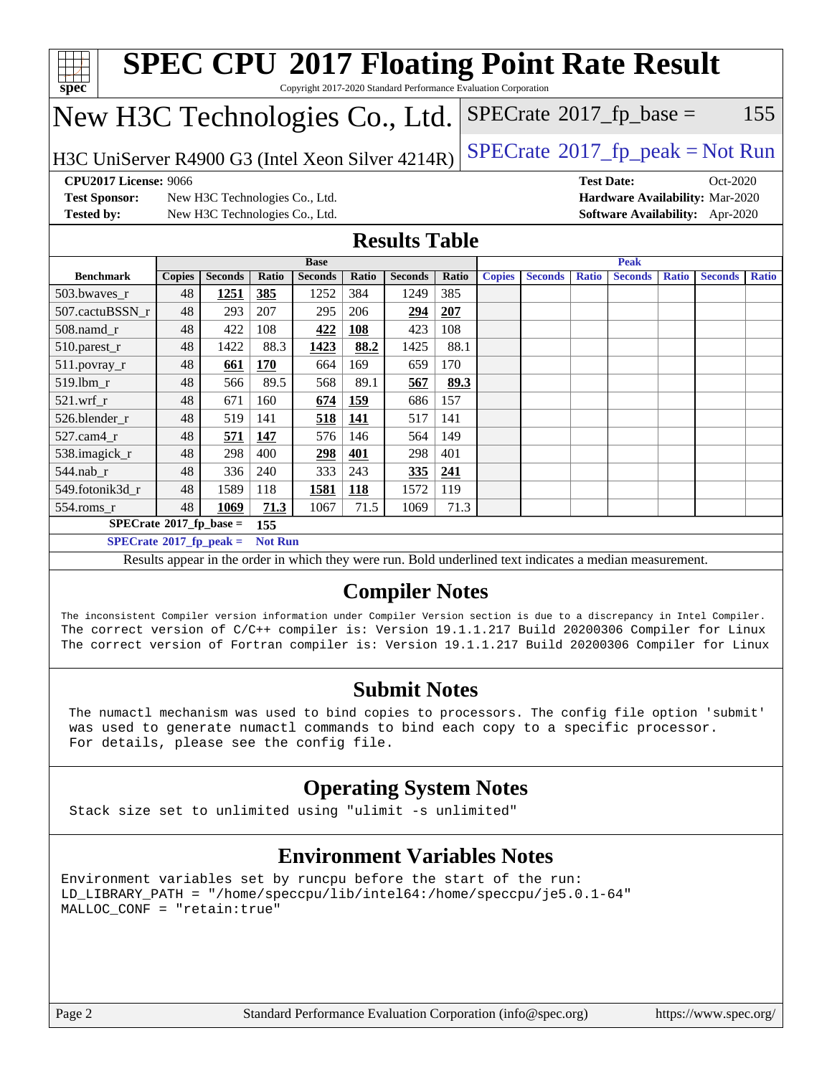| spec <sup>®</sup>                                                                                                                                                                                  |                                                                                              |                                |                |                |            |                       |       | <b>SPEC CPU®2017 Floating Point Rate Result</b><br>Copyright 2017-2020 Standard Performance Evaluation Corporation |                |              |                |              |                                 |              |
|----------------------------------------------------------------------------------------------------------------------------------------------------------------------------------------------------|----------------------------------------------------------------------------------------------|--------------------------------|----------------|----------------|------------|-----------------------|-------|--------------------------------------------------------------------------------------------------------------------|----------------|--------------|----------------|--------------|---------------------------------|--------------|
| New H3C Technologies Co., Ltd.                                                                                                                                                                     |                                                                                              |                                |                |                |            |                       |       | $SPECrate^{\circledast}2017$ _fp_base =                                                                            |                |              |                |              |                                 | 155          |
|                                                                                                                                                                                                    | $SPECrate^{\circ}2017rfp peak = Not Run$<br>H3C UniServer R4900 G3 (Intel Xeon Silver 4214R) |                                |                |                |            |                       |       |                                                                                                                    |                |              |                |              |                                 |              |
| <b>CPU2017 License: 9066</b><br><b>Test Date:</b><br>$Oct-2020$                                                                                                                                    |                                                                                              |                                |                |                |            |                       |       |                                                                                                                    |                |              |                |              |                                 |              |
| <b>Test Sponsor:</b>                                                                                                                                                                               |                                                                                              | New H3C Technologies Co., Ltd. |                |                |            |                       |       |                                                                                                                    |                |              |                |              | Hardware Availability: Mar-2020 |              |
| <b>Tested by:</b>                                                                                                                                                                                  |                                                                                              | New H3C Technologies Co., Ltd. |                |                |            |                       |       |                                                                                                                    |                |              |                |              | Software Availability: Apr-2020 |              |
|                                                                                                                                                                                                    |                                                                                              |                                |                |                |            | <b>Results Table</b>  |       |                                                                                                                    |                |              |                |              |                                 |              |
|                                                                                                                                                                                                    |                                                                                              |                                |                | <b>Base</b>    |            |                       |       |                                                                                                                    |                |              | <b>Peak</b>    |              |                                 |              |
| <b>Benchmark</b>                                                                                                                                                                                   | <b>Copies</b>                                                                                | <b>Seconds</b>                 | Ratio          | <b>Seconds</b> | Ratio      | <b>Seconds</b>        | Ratio | <b>Copies</b>                                                                                                      | <b>Seconds</b> | <b>Ratio</b> | <b>Seconds</b> | <b>Ratio</b> | <b>Seconds</b>                  | <b>Ratio</b> |
| 503.bwaves_r                                                                                                                                                                                       | 48                                                                                           | <u>1251</u>                    | 385            | 1252           | 384        | 1249                  | 385   |                                                                                                                    |                |              |                |              |                                 |              |
| 507.cactuBSSN_r                                                                                                                                                                                    | 48                                                                                           | 293                            | 207            | 295            | 206        | 294                   | 207   |                                                                                                                    |                |              |                |              |                                 |              |
| 508.namd r                                                                                                                                                                                         | 48                                                                                           | 422                            | 108            | 422            | <b>108</b> | 423                   | 108   |                                                                                                                    |                |              |                |              |                                 |              |
| 510.parest_r                                                                                                                                                                                       | 48                                                                                           | 1422                           | 88.3           | 1423           | 88.2       | 1425                  | 88.1  |                                                                                                                    |                |              |                |              |                                 |              |
| 511.povray_r                                                                                                                                                                                       | 48                                                                                           | 661                            | 170            | 664            | 169        | 659                   | 170   |                                                                                                                    |                |              |                |              |                                 |              |
| 519.lbm_r                                                                                                                                                                                          | 48                                                                                           | 566                            | 89.5           | 568            | 89.1       | 567                   | 89.3  |                                                                                                                    |                |              |                |              |                                 |              |
| 521.wrf r                                                                                                                                                                                          | 48                                                                                           | 671                            | 160            | 674            | <b>159</b> | 686                   | 157   |                                                                                                                    |                |              |                |              |                                 |              |
| 526.blender_r                                                                                                                                                                                      | 48                                                                                           | 519                            | 141            | 518            | 141        | 517                   | 141   |                                                                                                                    |                |              |                |              |                                 |              |
| 527.cam4_r                                                                                                                                                                                         | 48                                                                                           | 571                            | 147            | 576            | 146        | 564                   | 149   |                                                                                                                    |                |              |                |              |                                 |              |
| 538.imagick_r                                                                                                                                                                                      | 48                                                                                           | 298                            | 400            | 298            | 401        | 298                   | 401   |                                                                                                                    |                |              |                |              |                                 |              |
| 544.nab_r                                                                                                                                                                                          | 48                                                                                           | 336                            | 240            | 333            | 243        | 335                   | 241   |                                                                                                                    |                |              |                |              |                                 |              |
| 549.fotonik3d_r                                                                                                                                                                                    | 48                                                                                           | 1589                           | 118            | 1581           | 118        | 1572                  | 119   |                                                                                                                    |                |              |                |              |                                 |              |
| 554.roms_r                                                                                                                                                                                         | 48                                                                                           | 1069                           | 71.3           | 1067           | 71.5       | 1069                  | 71.3  |                                                                                                                    |                |              |                |              |                                 |              |
|                                                                                                                                                                                                    | $SPECrate^{\circ}2017$ _fp_base =                                                            |                                | 155            |                |            |                       |       |                                                                                                                    |                |              |                |              |                                 |              |
|                                                                                                                                                                                                    | $SPECrate^*2017_fp_peak =$                                                                   |                                | <b>Not Run</b> |                |            |                       |       |                                                                                                                    |                |              |                |              |                                 |              |
|                                                                                                                                                                                                    |                                                                                              |                                |                |                |            |                       |       | Results appear in the order in which they were run. Bold underlined text indicates a median measurement.           |                |              |                |              |                                 |              |
|                                                                                                                                                                                                    |                                                                                              |                                |                |                |            | <b>Compiler Notes</b> |       |                                                                                                                    |                |              |                |              |                                 |              |
|                                                                                                                                                                                                    |                                                                                              |                                |                |                |            |                       |       |                                                                                                                    |                |              |                |              |                                 |              |
| The inconsistent Compiler version information under Compiler Version section is due to a discrepancy in Intel Compiler.                                                                            |                                                                                              |                                |                |                |            |                       |       |                                                                                                                    |                |              |                |              |                                 |              |
| The correct version of C/C++ compiler is: Version 19.1.1.217 Build 20200306 Compiler for Linux<br>The correct version of Fortran compiler is: Version 19.1.1.217 Build 20200306 Compiler for Linux |                                                                                              |                                |                |                |            |                       |       |                                                                                                                    |                |              |                |              |                                 |              |
|                                                                                                                                                                                                    |                                                                                              |                                |                |                |            |                       |       |                                                                                                                    |                |              |                |              |                                 |              |
|                                                                                                                                                                                                    |                                                                                              |                                |                |                |            | <b>Submit Notes</b>   |       |                                                                                                                    |                |              |                |              |                                 |              |
|                                                                                                                                                                                                    |                                                                                              |                                |                |                |            |                       |       |                                                                                                                    |                |              |                |              |                                 |              |
| The numactl mechanism was used to bind copies to processors. The config file option 'submit'<br>was used to generate numactl commands to bind each copy to a specific processor.                   |                                                                                              |                                |                |                |            |                       |       |                                                                                                                    |                |              |                |              |                                 |              |
| For details, please see the config file.                                                                                                                                                           |                                                                                              |                                |                |                |            |                       |       |                                                                                                                    |                |              |                |              |                                 |              |

#### **[Operating System Notes](http://www.spec.org/auto/cpu2017/Docs/result-fields.html#OperatingSystemNotes)**

Stack size set to unlimited using "ulimit -s unlimited"

#### **[Environment Variables Notes](http://www.spec.org/auto/cpu2017/Docs/result-fields.html#EnvironmentVariablesNotes)**

Environment variables set by runcpu before the start of the run: LD\_LIBRARY\_PATH = "/home/speccpu/lib/intel64:/home/speccpu/je5.0.1-64" MALLOC\_CONF = "retain:true"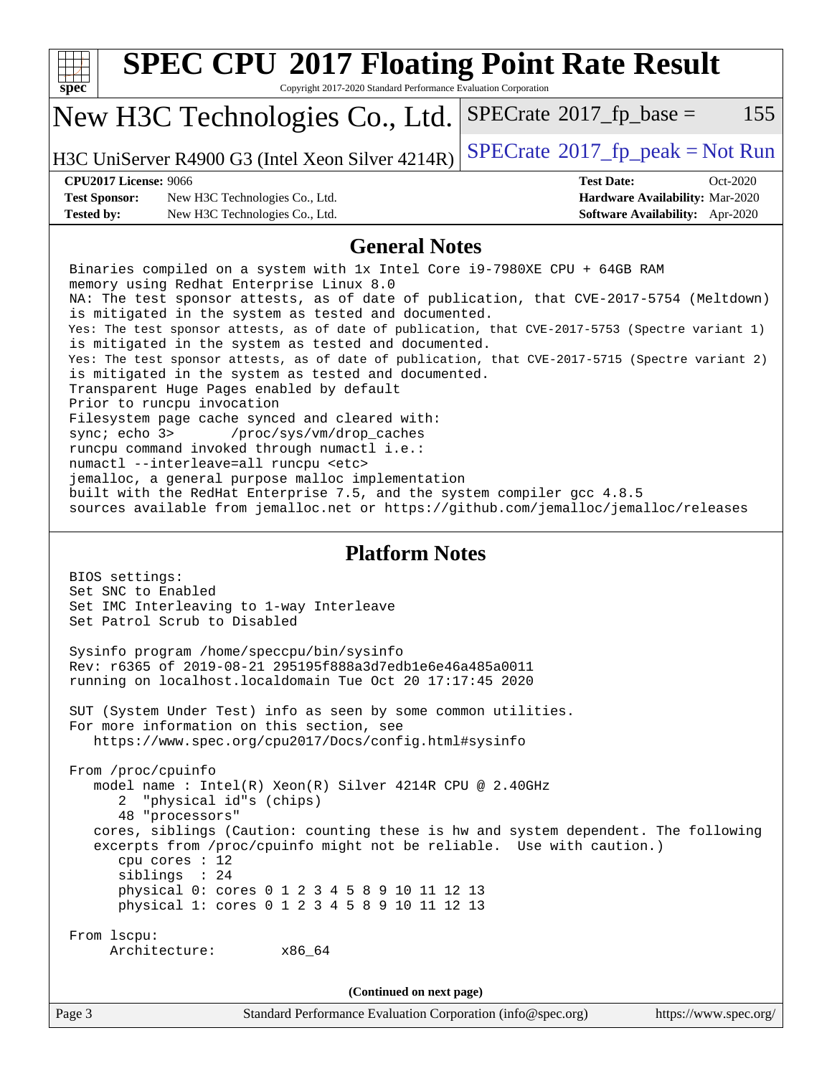| <b>SPEC CPU®2017 Floating Point Rate Result</b><br>Copyright 2017-2020 Standard Performance Evaluation Corporation<br>spec <sup>®</sup>                                                                                                                                                                                                                                                                                                                                                                                                                                                                                                                                                                                                                                                                                                                                                                                                                                                                                                                                                             |                                                                                                            |  |  |
|-----------------------------------------------------------------------------------------------------------------------------------------------------------------------------------------------------------------------------------------------------------------------------------------------------------------------------------------------------------------------------------------------------------------------------------------------------------------------------------------------------------------------------------------------------------------------------------------------------------------------------------------------------------------------------------------------------------------------------------------------------------------------------------------------------------------------------------------------------------------------------------------------------------------------------------------------------------------------------------------------------------------------------------------------------------------------------------------------------|------------------------------------------------------------------------------------------------------------|--|--|
| New H3C Technologies Co., Ltd.                                                                                                                                                                                                                                                                                                                                                                                                                                                                                                                                                                                                                                                                                                                                                                                                                                                                                                                                                                                                                                                                      | 155<br>$SPECrate^{\circ}2017$ _fp_base =                                                                   |  |  |
| H3C UniServer R4900 G3 (Intel Xeon Silver 4214R)                                                                                                                                                                                                                                                                                                                                                                                                                                                                                                                                                                                                                                                                                                                                                                                                                                                                                                                                                                                                                                                    | $SPECTate@2017fr peak = Not Run$                                                                           |  |  |
| <b>CPU2017 License: 9066</b><br><b>Test Sponsor:</b><br>New H3C Technologies Co., Ltd.<br><b>Tested by:</b><br>New H3C Technologies Co., Ltd.                                                                                                                                                                                                                                                                                                                                                                                                                                                                                                                                                                                                                                                                                                                                                                                                                                                                                                                                                       | <b>Test Date:</b><br>Oct-2020<br>Hardware Availability: Mar-2020<br><b>Software Availability:</b> Apr-2020 |  |  |
| <b>General Notes</b>                                                                                                                                                                                                                                                                                                                                                                                                                                                                                                                                                                                                                                                                                                                                                                                                                                                                                                                                                                                                                                                                                |                                                                                                            |  |  |
| Binaries compiled on a system with 1x Intel Core i9-7980XE CPU + 64GB RAM<br>memory using Redhat Enterprise Linux 8.0<br>NA: The test sponsor attests, as of date of publication, that CVE-2017-5754 (Meltdown)<br>is mitigated in the system as tested and documented.<br>Yes: The test sponsor attests, as of date of publication, that CVE-2017-5753 (Spectre variant 1)<br>is mitigated in the system as tested and documented.<br>Yes: The test sponsor attests, as of date of publication, that CVE-2017-5715 (Spectre variant 2)<br>is mitigated in the system as tested and documented.<br>Transparent Huge Pages enabled by default<br>Prior to runcpu invocation<br>Filesystem page cache synced and cleared with:<br>sync; echo 3><br>/proc/sys/vm/drop_caches<br>runcpu command invoked through numactl i.e.:<br>numactl --interleave=all runcpu <etc><br/>jemalloc, a general purpose malloc implementation<br/>built with the RedHat Enterprise 7.5, and the system compiler gcc 4.8.5<br/>sources available from jemalloc.net or https://github.com/jemalloc/jemalloc/releases</etc> |                                                                                                            |  |  |
| <b>Platform Notes</b><br>BIOS settings:<br>Set SNC to Enabled<br>Set IMC Interleaving to 1-way Interleave<br>Set Patrol Scrub to Disabled                                                                                                                                                                                                                                                                                                                                                                                                                                                                                                                                                                                                                                                                                                                                                                                                                                                                                                                                                           |                                                                                                            |  |  |
| Sysinfo program /home/speccpu/bin/sysinfo<br>Rev: r6365 of 2019-08-21 295195f888a3d7edble6e46a485a0011<br>running on localhost.localdomain Tue Oct 20 17:17:45 2020                                                                                                                                                                                                                                                                                                                                                                                                                                                                                                                                                                                                                                                                                                                                                                                                                                                                                                                                 |                                                                                                            |  |  |
| SUT (System Under Test) info as seen by some common utilities.<br>For more information on this section, see<br>https://www.spec.org/cpu2017/Docs/config.html#sysinfo                                                                                                                                                                                                                                                                                                                                                                                                                                                                                                                                                                                                                                                                                                                                                                                                                                                                                                                                |                                                                                                            |  |  |
| From /proc/cpuinfo<br>model name : Intel(R) Xeon(R) Silver 4214R CPU @ 2.40GHz<br>"physical id"s (chips)<br>2<br>48 "processors"<br>cores, siblings (Caution: counting these is hw and system dependent. The following<br>excerpts from /proc/cpuinfo might not be reliable. Use with caution.)<br>cpu cores $: 12$<br>siblings : 24<br>physical 0: cores 0 1 2 3 4 5 8 9 10 11 12 13<br>physical 1: cores 0 1 2 3 4 5 8 9 10 11 12 13                                                                                                                                                                                                                                                                                                                                                                                                                                                                                                                                                                                                                                                              |                                                                                                            |  |  |
| From lscpu:<br>Architecture: x86_64                                                                                                                                                                                                                                                                                                                                                                                                                                                                                                                                                                                                                                                                                                                                                                                                                                                                                                                                                                                                                                                                 |                                                                                                            |  |  |
| (Continued on next page)                                                                                                                                                                                                                                                                                                                                                                                                                                                                                                                                                                                                                                                                                                                                                                                                                                                                                                                                                                                                                                                                            |                                                                                                            |  |  |
| Page 3<br>Standard Performance Evaluation Corporation (info@spec.org)                                                                                                                                                                                                                                                                                                                                                                                                                                                                                                                                                                                                                                                                                                                                                                                                                                                                                                                                                                                                                               | https://www.spec.org/                                                                                      |  |  |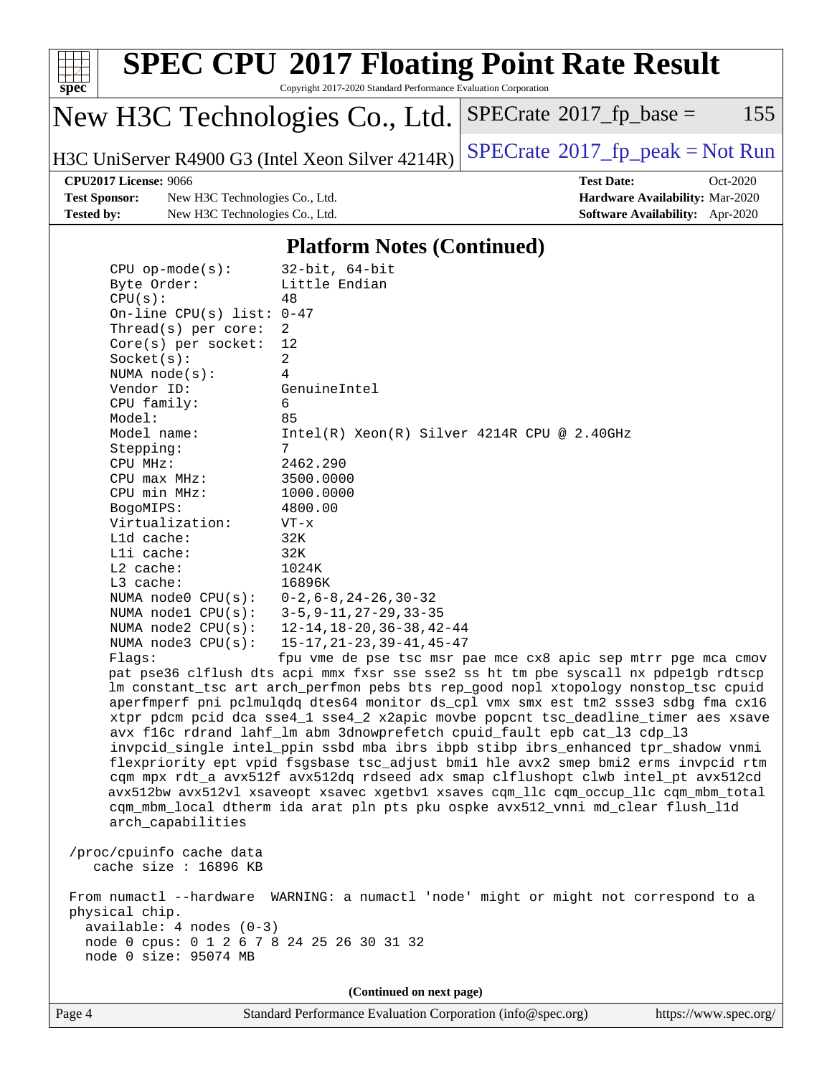

# **[SPEC CPU](http://www.spec.org/auto/cpu2017/Docs/result-fields.html#SPECCPU2017FloatingPointRateResult)[2017 Floating Point Rate Result](http://www.spec.org/auto/cpu2017/Docs/result-fields.html#SPECCPU2017FloatingPointRateResult)**

Copyright 2017-2020 Standard Performance Evaluation Corporation

## New H3C Technologies Co., Ltd.

H3C UniServer R4900 G3 (Intel Xeon Silver  $4214R$ ) [SPECrate](http://www.spec.org/auto/cpu2017/Docs/result-fields.html#SPECrate2017fppeak)®[2017\\_fp\\_peak = N](http://www.spec.org/auto/cpu2017/Docs/result-fields.html#SPECrate2017fppeak)ot Run

 $SPECTate@2017_fp\_base = 155$ 

**[Test Sponsor:](http://www.spec.org/auto/cpu2017/Docs/result-fields.html#TestSponsor)** New H3C Technologies Co., Ltd. **[Hardware Availability:](http://www.spec.org/auto/cpu2017/Docs/result-fields.html#HardwareAvailability)** Mar-2020 **[Tested by:](http://www.spec.org/auto/cpu2017/Docs/result-fields.html#Testedby)** New H3C Technologies Co., Ltd. **[Software Availability:](http://www.spec.org/auto/cpu2017/Docs/result-fields.html#SoftwareAvailability)** Apr-2020

**[CPU2017 License:](http://www.spec.org/auto/cpu2017/Docs/result-fields.html#CPU2017License)** 9066 **[Test Date:](http://www.spec.org/auto/cpu2017/Docs/result-fields.html#TestDate)** Oct-2020

#### **[Platform Notes \(Continued\)](http://www.spec.org/auto/cpu2017/Docs/result-fields.html#PlatformNotes)**

| $CPU$ op-mode( $s$ ):                      | $32$ -bit, $64$ -bit                                                                 |
|--------------------------------------------|--------------------------------------------------------------------------------------|
| Byte Order:                                | Little Endian                                                                        |
| CPU(s):                                    | 48                                                                                   |
| On-line CPU(s) list: $0-47$                |                                                                                      |
| Thread( $s$ ) per core:                    | 2                                                                                    |
| $Core(s)$ per socket:                      | 12                                                                                   |
| Socket(s):                                 | $\overline{a}$                                                                       |
| NUMA $node(s):$                            | $\overline{4}$                                                                       |
| Vendor ID:                                 | GenuineIntel                                                                         |
| CPU family:                                | 6                                                                                    |
| Model:                                     | 85                                                                                   |
| Model name:                                | $Intel(R) Xeon(R) Silver 4214R CPU @ 2.40GHz$                                        |
| Stepping:                                  | $7\overline{ }$                                                                      |
| CPU MHz:                                   | 2462.290                                                                             |
| $CPU$ max $MHz$ :                          | 3500.0000                                                                            |
| CPU min MHz:                               | 1000.0000                                                                            |
| BogoMIPS:                                  | 4800.00                                                                              |
| Virtualization:                            | $VT - x$                                                                             |
| L1d cache:                                 | 32K                                                                                  |
| Lli cache:                                 | 32K                                                                                  |
| $L2$ cache:                                | 1024K                                                                                |
| L3 cache:                                  | 16896K                                                                               |
| NUMA node0 CPU(s):                         | $0-2, 6-8, 24-26, 30-32$                                                             |
| NUMA $node1$ $CPU(s)$ :                    | $3 - 5, 9 - 11, 27 - 29, 33 - 35$                                                    |
| NUMA $node2$ $CPU(s):$                     | $12 - 14, 18 - 20, 36 - 38, 42 - 44$                                                 |
| NUMA node3 CPU(s):                         | $15 - 17, 21 - 23, 39 - 41, 45 - 47$                                                 |
| Flags:                                     | fpu vme de pse tsc msr pae mce cx8 apic sep mtrr pge mca cmov                        |
|                                            | pat pse36 clflush dts acpi mmx fxsr sse sse2 ss ht tm pbe syscall nx pdpelgb rdtscp  |
|                                            | lm constant_tsc art arch_perfmon pebs bts rep_good nopl xtopology nonstop_tsc cpuid  |
|                                            | aperfmperf pni pclmulqdq dtes64 monitor ds_cpl vmx smx est tm2 ssse3 sdbg fma cx16   |
|                                            | xtpr pdcm pcid dca sse4_1 sse4_2 x2apic movbe popcnt tsc_deadline_timer aes xsave    |
|                                            | avx f16c rdrand lahf_lm abm 3dnowprefetch cpuid_fault epb cat_13 cdp_13              |
|                                            | invpcid_single intel_ppin ssbd mba ibrs ibpb stibp ibrs_enhanced tpr_shadow vnmi     |
|                                            | flexpriority ept vpid fsgsbase tsc_adjust bmil hle avx2 smep bmi2 erms invpcid rtm   |
|                                            | cqm mpx rdt_a avx512f avx512dq rdseed adx smap clflushopt clwb intel_pt avx512cd     |
|                                            | avx512bw avx512vl xsaveopt xsavec xgetbvl xsaves cqm_llc cqm_occup_llc cqm_mbm_total |
|                                            | cqm_mbm_local dtherm ida arat pln pts pku ospke avx512_vnni md_clear flush_l1d       |
| arch_capabilities                          |                                                                                      |
|                                            |                                                                                      |
| /proc/cpuinfo cache data                   |                                                                                      |
| cache size : 16896 KB                      |                                                                                      |
|                                            |                                                                                      |
|                                            | From numactl --hardware WARNING: a numactl 'node' might or might not correspond to a |
| physical chip.                             |                                                                                      |
| $available: 4 nodes (0-3)$                 |                                                                                      |
| node 0 cpus: 0 1 2 6 7 8 24 25 26 30 31 32 |                                                                                      |
| node 0 size: 95074 MB                      |                                                                                      |
|                                            |                                                                                      |
|                                            | (Continued on next page)                                                             |
|                                            |                                                                                      |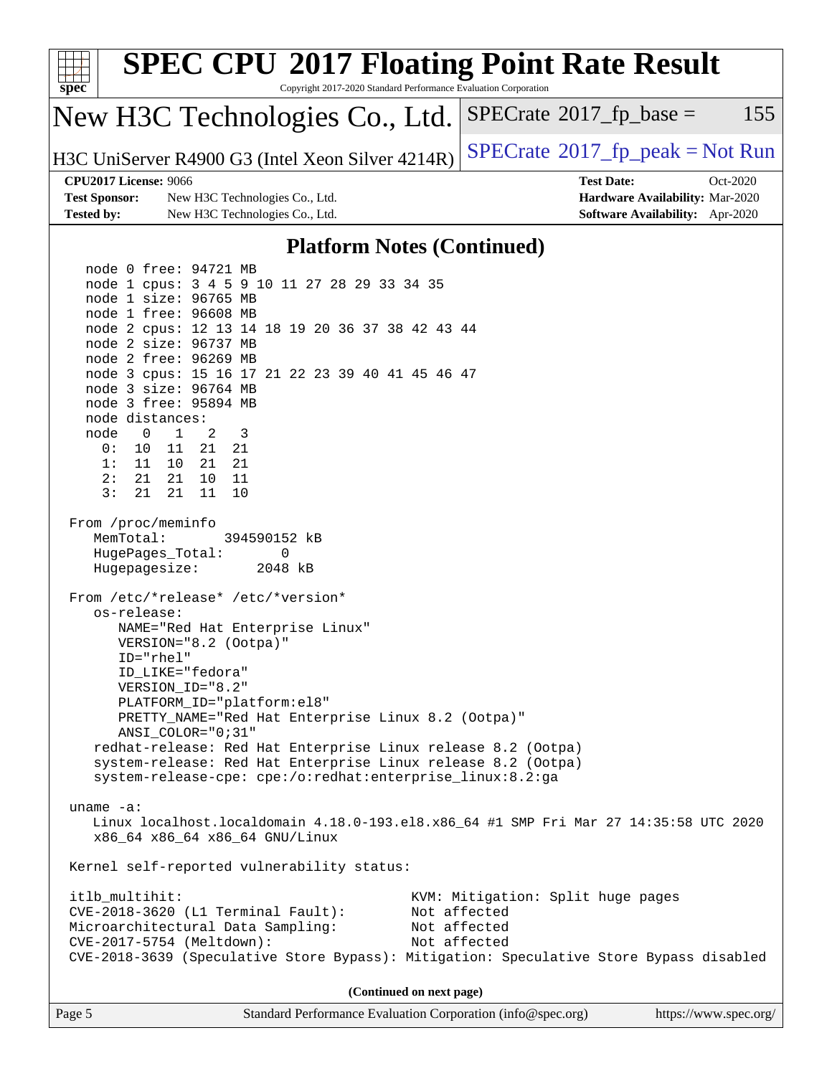| <b>SPEC CPU®2017 Floating Point Rate Result</b>                                                                      |                                          |
|----------------------------------------------------------------------------------------------------------------------|------------------------------------------|
| spec<br>Copyright 2017-2020 Standard Performance Evaluation Corporation                                              |                                          |
| New H3C Technologies Co., Ltd.                                                                                       | 155<br>$SPECrate^{\circ}2017$ fp base =  |
| H3C UniServer R4900 G3 (Intel Xeon Silver 4214R)                                                                     | $SPECrate^{\circ}2017rfp peak = Not Run$ |
| <b>CPU2017 License: 9066</b>                                                                                         | <b>Test Date:</b><br>Oct-2020            |
| <b>Test Sponsor:</b><br>New H3C Technologies Co., Ltd.                                                               | Hardware Availability: Mar-2020          |
| <b>Tested by:</b><br>New H3C Technologies Co., Ltd.                                                                  | Software Availability: Apr-2020          |
| <b>Platform Notes (Continued)</b>                                                                                    |                                          |
| node 0 free: 94721 MB                                                                                                |                                          |
| node 1 cpus: 3 4 5 9 10 11 27 28 29 33 34 35                                                                         |                                          |
| node 1 size: 96765 MB<br>node 1 free: 96608 MB                                                                       |                                          |
| node 2 cpus: 12 13 14 18 19 20 36 37 38 42 43 44                                                                     |                                          |
| node 2 size: 96737 MB                                                                                                |                                          |
| node 2 free: 96269 MB                                                                                                |                                          |
| node 3 cpus: 15 16 17 21 22 23 39 40 41 45 46 47                                                                     |                                          |
| node 3 size: 96764 MB                                                                                                |                                          |
| node 3 free: 95894 MB<br>node distances:                                                                             |                                          |
| node<br>$\mathbf{0}$<br>2<br>3<br>$\mathbf{1}$                                                                       |                                          |
| 0:<br>10 11 21 21                                                                                                    |                                          |
| 1:<br>11 10<br>21 21                                                                                                 |                                          |
| 10 11<br>2:<br>21<br>21                                                                                              |                                          |
| 3:<br>21<br>21<br>11<br>10                                                                                           |                                          |
| From /proc/meminfo<br>MemTotal:<br>394590152 kB<br>HugePages_Total:<br>0<br>Hugepagesize:<br>2048 kB                 |                                          |
|                                                                                                                      |                                          |
| From /etc/*release* /etc/*version*<br>os-release:                                                                    |                                          |
| NAME="Red Hat Enterprise Linux"                                                                                      |                                          |
| VERSION="8.2 (Ootpa)"                                                                                                |                                          |
| ID="rhel"                                                                                                            |                                          |
| ID_LIKE="fedora"                                                                                                     |                                          |
| VERSION_ID="8.2"<br>PLATFORM_ID="platform:el8"                                                                       |                                          |
| PRETTY_NAME="Red Hat Enterprise Linux 8.2 (Ootpa)"                                                                   |                                          |
| ANSI_COLOR="0;31"                                                                                                    |                                          |
| redhat-release: Red Hat Enterprise Linux release 8.2 (Ootpa)                                                         |                                          |
| system-release: Red Hat Enterprise Linux release 8.2 (Ootpa)                                                         |                                          |
| system-release-cpe: cpe:/o:redhat:enterprise_linux:8.2:ga                                                            |                                          |
| uname $-a$ :                                                                                                         |                                          |
| Linux localhost.localdomain 4.18.0-193.el8.x86_64 #1 SMP Fri Mar 27 14:35:58 UTC 2020                                |                                          |
| x86_64 x86_64 x86_64 GNU/Linux                                                                                       |                                          |
| Kernel self-reported vulnerability status:                                                                           |                                          |
| itlb_multihit:                                                                                                       | KVM: Mitigation: Split huge pages        |
| CVE-2018-3620 (L1 Terminal Fault):                                                                                   | Not affected                             |
| Microarchitectural Data Sampling:                                                                                    | Not affected                             |
| CVE-2017-5754 (Meltdown):<br>CVE-2018-3639 (Speculative Store Bypass): Mitigation: Speculative Store Bypass disabled | Not affected                             |
|                                                                                                                      |                                          |
| (Continued on next page)                                                                                             |                                          |
|                                                                                                                      |                                          |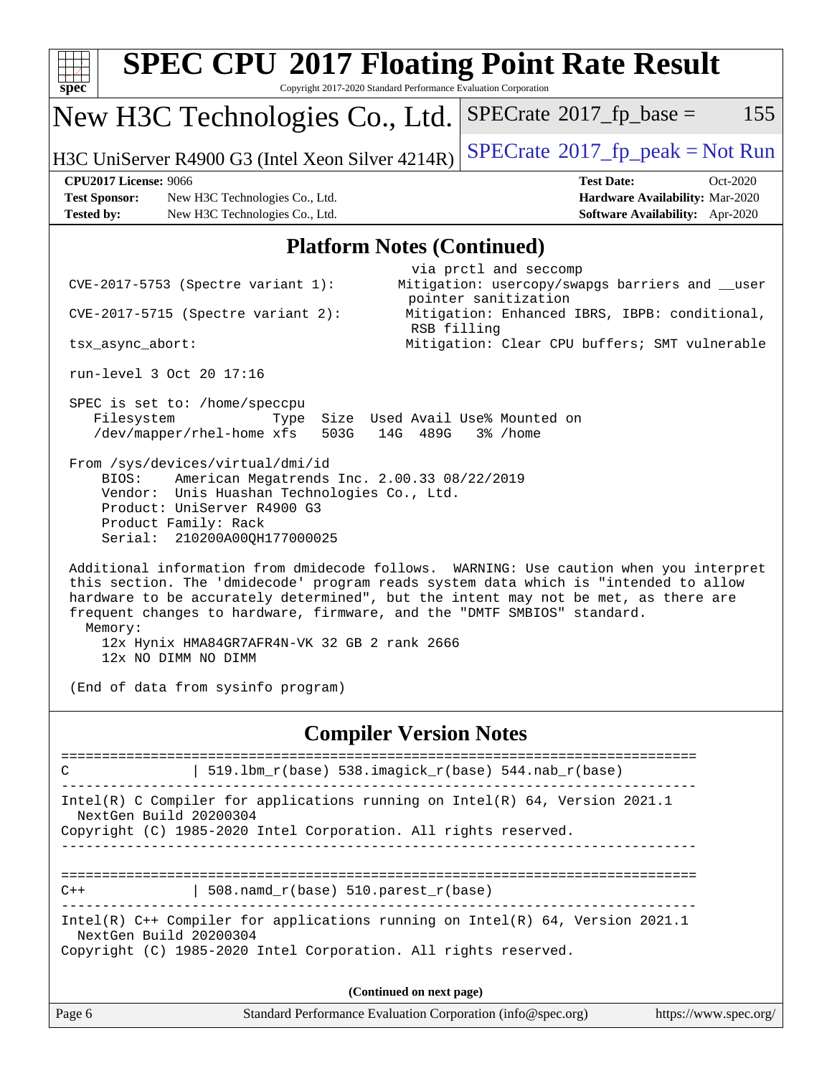| <b>SPEC CPU®2017 Floating Point Rate Result</b><br>Copyright 2017-2020 Standard Performance Evaluation Corporation<br>$spec^*$                                                                                                                                                                                                                                                                                                                                                                                                                                                                               |                                                                                                                                                                                                                  |
|--------------------------------------------------------------------------------------------------------------------------------------------------------------------------------------------------------------------------------------------------------------------------------------------------------------------------------------------------------------------------------------------------------------------------------------------------------------------------------------------------------------------------------------------------------------------------------------------------------------|------------------------------------------------------------------------------------------------------------------------------------------------------------------------------------------------------------------|
| New H3C Technologies Co., Ltd.                                                                                                                                                                                                                                                                                                                                                                                                                                                                                                                                                                               | $SPECrate^{\circ}2017$ fp base =<br>155                                                                                                                                                                          |
| H3C UniServer R4900 G3 (Intel Xeon Silver 4214R)                                                                                                                                                                                                                                                                                                                                                                                                                                                                                                                                                             | $SPECrate^{\circ}2017$ [p_peak = Not Run                                                                                                                                                                         |
| <b>CPU2017 License: 9066</b><br><b>Test Sponsor:</b><br>New H3C Technologies Co., Ltd.<br><b>Tested by:</b><br>New H3C Technologies Co., Ltd.                                                                                                                                                                                                                                                                                                                                                                                                                                                                | <b>Test Date:</b><br>Oct-2020<br>Hardware Availability: Mar-2020<br>Software Availability: Apr-2020                                                                                                              |
| <b>Platform Notes (Continued)</b>                                                                                                                                                                                                                                                                                                                                                                                                                                                                                                                                                                            |                                                                                                                                                                                                                  |
| $CVE-2017-5753$ (Spectre variant 1):<br>$CVE-2017-5715$ (Spectre variant 2):<br>RSB filling<br>tsx_async_abort:<br>run-level 3 Oct 20 17:16<br>SPEC is set to: /home/speccpu<br>Size Used Avail Use% Mounted on<br>Filesystem<br>Type<br>/dev/mapper/rhel-home xfs<br>503G<br>14G<br>489G<br>From /sys/devices/virtual/dmi/id<br>BIOS:<br>American Megatrends Inc. 2.00.33 08/22/2019                                                                                                                                                                                                                        | via prctl and seccomp<br>Mitigation: usercopy/swapgs barriers and __user<br>pointer sanitization<br>Mitigation: Enhanced IBRS, IBPB: conditional,<br>Mitigation: Clear CPU buffers; SMT vulnerable<br>$3%$ /home |
| Vendor: Unis Huashan Technologies Co., Ltd.<br>Product: UniServer R4900 G3<br>Product Family: Rack<br>Serial: 210200A00QH177000025<br>Additional information from dmidecode follows. WARNING: Use caution when you interpret<br>this section. The 'dmidecode' program reads system data which is "intended to allow<br>hardware to be accurately determined", but the intent may not be met, as there are<br>frequent changes to hardware, firmware, and the "DMTF SMBIOS" standard.<br>Memory:<br>12x Hynix HMA84GR7AFR4N-VK 32 GB 2 rank 2666<br>12x NO DIMM NO DIMM<br>(End of data from sysinfo program) |                                                                                                                                                                                                                  |
| <b>Compiler Version Notes</b>                                                                                                                                                                                                                                                                                                                                                                                                                                                                                                                                                                                |                                                                                                                                                                                                                  |
| 519.1bm_r(base) 538.imagick_r(base) 544.nab_r(base)<br>C<br>Intel(R) C Compiler for applications running on Intel(R) 64, Version 2021.1<br>NextGen Build 20200304<br>Copyright (C) 1985-2020 Intel Corporation. All rights reserved.                                                                                                                                                                                                                                                                                                                                                                         |                                                                                                                                                                                                                  |
| ---------------------------<br>$\vert$ 508.namd_r(base) 510.parest_r(base)<br>$C++$<br>Intel(R) C++ Compiler for applications running on Intel(R) 64, Version 2021.1<br>NextGen Build 20200304<br>Copyright (C) 1985-2020 Intel Corporation. All rights reserved.                                                                                                                                                                                                                                                                                                                                            |                                                                                                                                                                                                                  |
| (Continued on next page)                                                                                                                                                                                                                                                                                                                                                                                                                                                                                                                                                                                     |                                                                                                                                                                                                                  |
| Page 6<br>Standard Performance Evaluation Corporation (info@spec.org)                                                                                                                                                                                                                                                                                                                                                                                                                                                                                                                                        | https://www.spec.org/                                                                                                                                                                                            |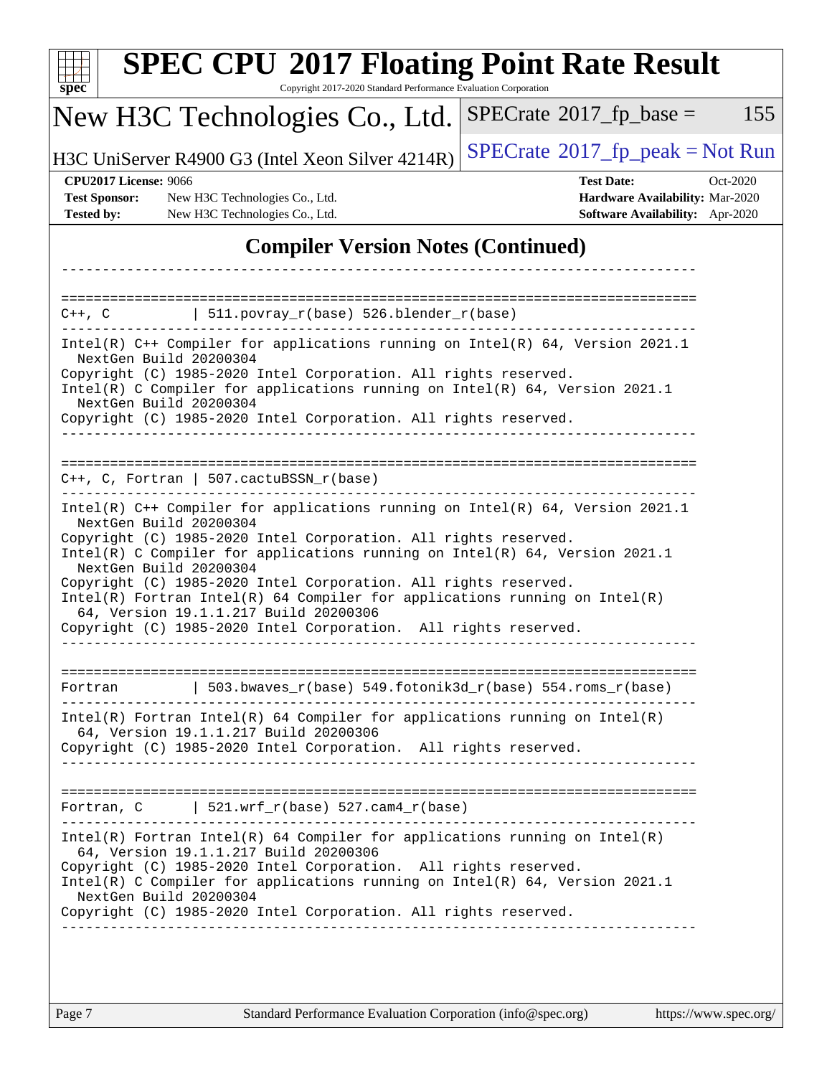| <b>SPEC CPU®2017 Floating Point Rate Result</b><br>Copyright 2017-2020 Standard Performance Evaluation Corporation<br>$spec^*$                                                                                                                                                                                                                                                                                                                                                                                                                     |                                                                                                     |
|----------------------------------------------------------------------------------------------------------------------------------------------------------------------------------------------------------------------------------------------------------------------------------------------------------------------------------------------------------------------------------------------------------------------------------------------------------------------------------------------------------------------------------------------------|-----------------------------------------------------------------------------------------------------|
| New H3C Technologies Co., Ltd.                                                                                                                                                                                                                                                                                                                                                                                                                                                                                                                     | 155<br>$SPECrate^{\circledast}2017$ _fp_base =                                                      |
| H3C UniServer R4900 G3 (Intel Xeon Silver 4214R)                                                                                                                                                                                                                                                                                                                                                                                                                                                                                                   | $SPECrate^{\circledast}2017rfp peak = Not Run$                                                      |
| <b>CPU2017 License: 9066</b><br><b>Test Sponsor:</b><br>New H3C Technologies Co., Ltd.<br>New H3C Technologies Co., Ltd.<br><b>Tested by:</b>                                                                                                                                                                                                                                                                                                                                                                                                      | <b>Test Date:</b><br>Oct-2020<br>Hardware Availability: Mar-2020<br>Software Availability: Apr-2020 |
| <b>Compiler Version Notes (Continued)</b>                                                                                                                                                                                                                                                                                                                                                                                                                                                                                                          |                                                                                                     |
| $\vert$ 511.povray_r(base) 526.blender_r(base)<br>$C++$ , $C$                                                                                                                                                                                                                                                                                                                                                                                                                                                                                      |                                                                                                     |
| Intel(R) C++ Compiler for applications running on Intel(R) 64, Version 2021.1                                                                                                                                                                                                                                                                                                                                                                                                                                                                      |                                                                                                     |
| NextGen Build 20200304<br>Copyright (C) 1985-2020 Intel Corporation. All rights reserved.<br>Intel(R) C Compiler for applications running on Intel(R) 64, Version 2021.1<br>NextGen Build 20200304                                                                                                                                                                                                                                                                                                                                                 |                                                                                                     |
| Copyright (C) 1985-2020 Intel Corporation. All rights reserved.                                                                                                                                                                                                                                                                                                                                                                                                                                                                                    |                                                                                                     |
| $C++$ , C, Fortran   507.cactuBSSN_r(base)                                                                                                                                                                                                                                                                                                                                                                                                                                                                                                         |                                                                                                     |
| Intel(R) C++ Compiler for applications running on Intel(R) 64, Version 2021.1<br>NextGen Build 20200304<br>Copyright (C) 1985-2020 Intel Corporation. All rights reserved.<br>Intel(R) C Compiler for applications running on Intel(R) 64, Version 2021.1<br>NextGen Build 20200304<br>Copyright (C) 1985-2020 Intel Corporation. All rights reserved.<br>$Intel(R)$ Fortran Intel(R) 64 Compiler for applications running on Intel(R)<br>64, Version 19.1.1.217 Build 20200306<br>Copyright (C) 1985-2020 Intel Corporation. All rights reserved. |                                                                                                     |
| _______________<br>  503.bwaves_r(base) 549.fotonik3d_r(base) 554.roms_r(base)<br>Fortran                                                                                                                                                                                                                                                                                                                                                                                                                                                          |                                                                                                     |
| $Intel(R)$ Fortran Intel(R) 64 Compiler for applications running on Intel(R)<br>64, Version 19.1.1.217 Build 20200306<br>Copyright (C) 1985-2020 Intel Corporation. All rights reserved.                                                                                                                                                                                                                                                                                                                                                           |                                                                                                     |
| Fortran, $C$   521.wrf_r(base) 527.cam4_r(base)                                                                                                                                                                                                                                                                                                                                                                                                                                                                                                    |                                                                                                     |
| Intel(R) Fortran Intel(R) 64 Compiler for applications running on Intel(R)<br>64, Version 19.1.1.217 Build 20200306<br>Copyright (C) 1985-2020 Intel Corporation. All rights reserved.<br>Intel(R) C Compiler for applications running on $Intel(R) 64$ , Version 2021.1<br>NextGen Build 20200304                                                                                                                                                                                                                                                 |                                                                                                     |
| Copyright (C) 1985-2020 Intel Corporation. All rights reserved.                                                                                                                                                                                                                                                                                                                                                                                                                                                                                    |                                                                                                     |

Page 7 Standard Performance Evaluation Corporation [\(info@spec.org\)](mailto:info@spec.org) <https://www.spec.org/>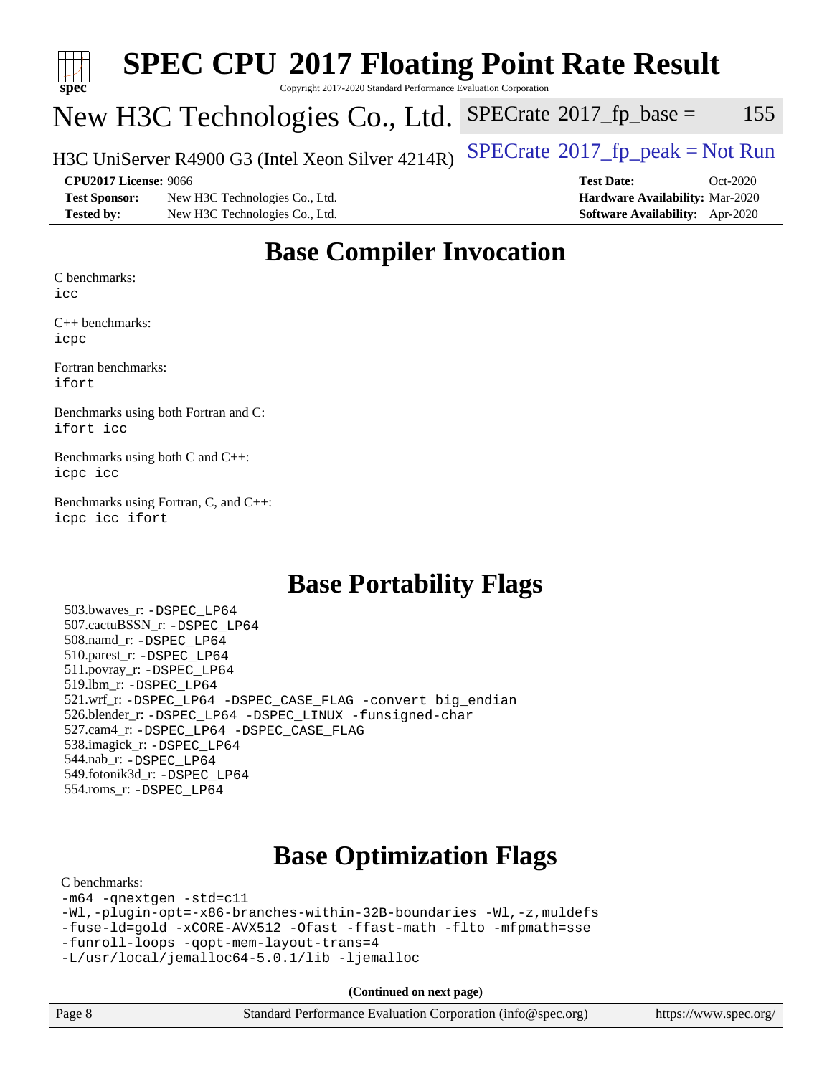| $\frac{1}{\text{spec}^*}$ | <b>SPEC CPU®2017 Floating Point Rate Result</b><br>Copyright 2017-2020 Standard Performance Evaluation Corporation |                                              |
|---------------------------|--------------------------------------------------------------------------------------------------------------------|----------------------------------------------|
|                           | New H3C Technologies Co., Ltd.                                                                                     | $SPECrate^{\circledast}2017fr base =$<br>155 |
|                           | H3C UniServer R4900 G3 (Intel Xeon Silver 4214R)                                                                   | $SPECrate^{\circ}2017$ _fp_peak = Not Run    |
|                           | CPU2017 License: 9066                                                                                              | <b>Test Date:</b><br>$Oct-2020$              |
| <b>Test Sponsor:</b>      | New H3C Technologies Co., Ltd.                                                                                     | Hardware Availability: Mar-2020              |
| <b>Tested by:</b>         | New H3C Technologies Co., Ltd.                                                                                     | <b>Software Availability:</b> Apr-2020       |

### **[Base Compiler Invocation](http://www.spec.org/auto/cpu2017/Docs/result-fields.html#BaseCompilerInvocation)**

[C benchmarks](http://www.spec.org/auto/cpu2017/Docs/result-fields.html#Cbenchmarks):

[icc](http://www.spec.org/cpu2017/results/res2020q4/cpu2017-20201020-24227.flags.html#user_CCbase_intel_icc_66fc1ee009f7361af1fbd72ca7dcefbb700085f36577c54f309893dd4ec40d12360134090235512931783d35fd58c0460139e722d5067c5574d8eaf2b3e37e92)

[C++ benchmarks:](http://www.spec.org/auto/cpu2017/Docs/result-fields.html#CXXbenchmarks) [icpc](http://www.spec.org/cpu2017/results/res2020q4/cpu2017-20201020-24227.flags.html#user_CXXbase_intel_icpc_c510b6838c7f56d33e37e94d029a35b4a7bccf4766a728ee175e80a419847e808290a9b78be685c44ab727ea267ec2f070ec5dc83b407c0218cded6866a35d07)

[Fortran benchmarks](http://www.spec.org/auto/cpu2017/Docs/result-fields.html#Fortranbenchmarks): [ifort](http://www.spec.org/cpu2017/results/res2020q4/cpu2017-20201020-24227.flags.html#user_FCbase_intel_ifort_8111460550e3ca792625aed983ce982f94888b8b503583aa7ba2b8303487b4d8a21a13e7191a45c5fd58ff318f48f9492884d4413fa793fd88dd292cad7027ca)

[Benchmarks using both Fortran and C](http://www.spec.org/auto/cpu2017/Docs/result-fields.html#BenchmarksusingbothFortranandC): [ifort](http://www.spec.org/cpu2017/results/res2020q4/cpu2017-20201020-24227.flags.html#user_CC_FCbase_intel_ifort_8111460550e3ca792625aed983ce982f94888b8b503583aa7ba2b8303487b4d8a21a13e7191a45c5fd58ff318f48f9492884d4413fa793fd88dd292cad7027ca) [icc](http://www.spec.org/cpu2017/results/res2020q4/cpu2017-20201020-24227.flags.html#user_CC_FCbase_intel_icc_66fc1ee009f7361af1fbd72ca7dcefbb700085f36577c54f309893dd4ec40d12360134090235512931783d35fd58c0460139e722d5067c5574d8eaf2b3e37e92)

[Benchmarks using both C and C++:](http://www.spec.org/auto/cpu2017/Docs/result-fields.html#BenchmarksusingbothCandCXX) [icpc](http://www.spec.org/cpu2017/results/res2020q4/cpu2017-20201020-24227.flags.html#user_CC_CXXbase_intel_icpc_c510b6838c7f56d33e37e94d029a35b4a7bccf4766a728ee175e80a419847e808290a9b78be685c44ab727ea267ec2f070ec5dc83b407c0218cded6866a35d07) [icc](http://www.spec.org/cpu2017/results/res2020q4/cpu2017-20201020-24227.flags.html#user_CC_CXXbase_intel_icc_66fc1ee009f7361af1fbd72ca7dcefbb700085f36577c54f309893dd4ec40d12360134090235512931783d35fd58c0460139e722d5067c5574d8eaf2b3e37e92)

[Benchmarks using Fortran, C, and C++](http://www.spec.org/auto/cpu2017/Docs/result-fields.html#BenchmarksusingFortranCandCXX): [icpc](http://www.spec.org/cpu2017/results/res2020q4/cpu2017-20201020-24227.flags.html#user_CC_CXX_FCbase_intel_icpc_c510b6838c7f56d33e37e94d029a35b4a7bccf4766a728ee175e80a419847e808290a9b78be685c44ab727ea267ec2f070ec5dc83b407c0218cded6866a35d07) [icc](http://www.spec.org/cpu2017/results/res2020q4/cpu2017-20201020-24227.flags.html#user_CC_CXX_FCbase_intel_icc_66fc1ee009f7361af1fbd72ca7dcefbb700085f36577c54f309893dd4ec40d12360134090235512931783d35fd58c0460139e722d5067c5574d8eaf2b3e37e92) [ifort](http://www.spec.org/cpu2017/results/res2020q4/cpu2017-20201020-24227.flags.html#user_CC_CXX_FCbase_intel_ifort_8111460550e3ca792625aed983ce982f94888b8b503583aa7ba2b8303487b4d8a21a13e7191a45c5fd58ff318f48f9492884d4413fa793fd88dd292cad7027ca)

### **[Base Portability Flags](http://www.spec.org/auto/cpu2017/Docs/result-fields.html#BasePortabilityFlags)**

 503.bwaves\_r: [-DSPEC\\_LP64](http://www.spec.org/cpu2017/results/res2020q4/cpu2017-20201020-24227.flags.html#suite_basePORTABILITY503_bwaves_r_DSPEC_LP64) 507.cactuBSSN\_r: [-DSPEC\\_LP64](http://www.spec.org/cpu2017/results/res2020q4/cpu2017-20201020-24227.flags.html#suite_basePORTABILITY507_cactuBSSN_r_DSPEC_LP64) 508.namd\_r: [-DSPEC\\_LP64](http://www.spec.org/cpu2017/results/res2020q4/cpu2017-20201020-24227.flags.html#suite_basePORTABILITY508_namd_r_DSPEC_LP64) 510.parest\_r: [-DSPEC\\_LP64](http://www.spec.org/cpu2017/results/res2020q4/cpu2017-20201020-24227.flags.html#suite_basePORTABILITY510_parest_r_DSPEC_LP64) 511.povray\_r: [-DSPEC\\_LP64](http://www.spec.org/cpu2017/results/res2020q4/cpu2017-20201020-24227.flags.html#suite_basePORTABILITY511_povray_r_DSPEC_LP64) 519.lbm\_r: [-DSPEC\\_LP64](http://www.spec.org/cpu2017/results/res2020q4/cpu2017-20201020-24227.flags.html#suite_basePORTABILITY519_lbm_r_DSPEC_LP64) 521.wrf\_r: [-DSPEC\\_LP64](http://www.spec.org/cpu2017/results/res2020q4/cpu2017-20201020-24227.flags.html#suite_basePORTABILITY521_wrf_r_DSPEC_LP64) [-DSPEC\\_CASE\\_FLAG](http://www.spec.org/cpu2017/results/res2020q4/cpu2017-20201020-24227.flags.html#b521.wrf_r_baseCPORTABILITY_DSPEC_CASE_FLAG) [-convert big\\_endian](http://www.spec.org/cpu2017/results/res2020q4/cpu2017-20201020-24227.flags.html#user_baseFPORTABILITY521_wrf_r_convert_big_endian_c3194028bc08c63ac5d04de18c48ce6d347e4e562e8892b8bdbdc0214820426deb8554edfa529a3fb25a586e65a3d812c835984020483e7e73212c4d31a38223) 526.blender\_r: [-DSPEC\\_LP64](http://www.spec.org/cpu2017/results/res2020q4/cpu2017-20201020-24227.flags.html#suite_basePORTABILITY526_blender_r_DSPEC_LP64) [-DSPEC\\_LINUX](http://www.spec.org/cpu2017/results/res2020q4/cpu2017-20201020-24227.flags.html#b526.blender_r_baseCPORTABILITY_DSPEC_LINUX) [-funsigned-char](http://www.spec.org/cpu2017/results/res2020q4/cpu2017-20201020-24227.flags.html#user_baseCPORTABILITY526_blender_r_force_uchar_40c60f00ab013830e2dd6774aeded3ff59883ba5a1fc5fc14077f794d777847726e2a5858cbc7672e36e1b067e7e5c1d9a74f7176df07886a243d7cc18edfe67) 527.cam4\_r: [-DSPEC\\_LP64](http://www.spec.org/cpu2017/results/res2020q4/cpu2017-20201020-24227.flags.html#suite_basePORTABILITY527_cam4_r_DSPEC_LP64) [-DSPEC\\_CASE\\_FLAG](http://www.spec.org/cpu2017/results/res2020q4/cpu2017-20201020-24227.flags.html#b527.cam4_r_baseCPORTABILITY_DSPEC_CASE_FLAG) 538.imagick\_r: [-DSPEC\\_LP64](http://www.spec.org/cpu2017/results/res2020q4/cpu2017-20201020-24227.flags.html#suite_basePORTABILITY538_imagick_r_DSPEC_LP64) 544.nab\_r: [-DSPEC\\_LP64](http://www.spec.org/cpu2017/results/res2020q4/cpu2017-20201020-24227.flags.html#suite_basePORTABILITY544_nab_r_DSPEC_LP64) 549.fotonik3d\_r: [-DSPEC\\_LP64](http://www.spec.org/cpu2017/results/res2020q4/cpu2017-20201020-24227.flags.html#suite_basePORTABILITY549_fotonik3d_r_DSPEC_LP64) 554.roms\_r: [-DSPEC\\_LP64](http://www.spec.org/cpu2017/results/res2020q4/cpu2017-20201020-24227.flags.html#suite_basePORTABILITY554_roms_r_DSPEC_LP64)

## **[Base Optimization Flags](http://www.spec.org/auto/cpu2017/Docs/result-fields.html#BaseOptimizationFlags)**

#### [C benchmarks](http://www.spec.org/auto/cpu2017/Docs/result-fields.html#Cbenchmarks):

[-m64](http://www.spec.org/cpu2017/results/res2020q4/cpu2017-20201020-24227.flags.html#user_CCbase_m64-icc) [-qnextgen](http://www.spec.org/cpu2017/results/res2020q4/cpu2017-20201020-24227.flags.html#user_CCbase_f-qnextgen) [-std=c11](http://www.spec.org/cpu2017/results/res2020q4/cpu2017-20201020-24227.flags.html#user_CCbase_std-icc-std_0e1c27790398a4642dfca32ffe6c27b5796f9c2d2676156f2e42c9c44eaad0c049b1cdb667a270c34d979996257aeb8fc440bfb01818dbc9357bd9d174cb8524) [-Wl,-plugin-opt=-x86-branches-within-32B-boundaries](http://www.spec.org/cpu2017/results/res2020q4/cpu2017-20201020-24227.flags.html#user_CCbase_f-x86-branches-within-32B-boundaries_0098b4e4317ae60947b7b728078a624952a08ac37a3c797dfb4ffeb399e0c61a9dd0f2f44ce917e9361fb9076ccb15e7824594512dd315205382d84209e912f3) [-Wl,-z,muldefs](http://www.spec.org/cpu2017/results/res2020q4/cpu2017-20201020-24227.flags.html#user_CCbase_link_force_multiple1_b4cbdb97b34bdee9ceefcfe54f4c8ea74255f0b02a4b23e853cdb0e18eb4525ac79b5a88067c842dd0ee6996c24547a27a4b99331201badda8798ef8a743f577) [-fuse-ld=gold](http://www.spec.org/cpu2017/results/res2020q4/cpu2017-20201020-24227.flags.html#user_CCbase_f-fuse-ld_920b3586e2b8c6e0748b9c84fa9b744736ba725a32cab14ad8f3d4ad28eecb2f59d1144823d2e17006539a88734fe1fc08fc3035f7676166309105a78aaabc32) [-xCORE-AVX512](http://www.spec.org/cpu2017/results/res2020q4/cpu2017-20201020-24227.flags.html#user_CCbase_f-xCORE-AVX512) [-Ofast](http://www.spec.org/cpu2017/results/res2020q4/cpu2017-20201020-24227.flags.html#user_CCbase_f-Ofast) [-ffast-math](http://www.spec.org/cpu2017/results/res2020q4/cpu2017-20201020-24227.flags.html#user_CCbase_f-ffast-math) [-flto](http://www.spec.org/cpu2017/results/res2020q4/cpu2017-20201020-24227.flags.html#user_CCbase_f-flto) [-mfpmath=sse](http://www.spec.org/cpu2017/results/res2020q4/cpu2017-20201020-24227.flags.html#user_CCbase_f-mfpmath_70eb8fac26bde974f8ab713bc9086c5621c0b8d2f6c86f38af0bd7062540daf19db5f3a066d8c6684be05d84c9b6322eb3b5be6619d967835195b93d6c02afa1) [-funroll-loops](http://www.spec.org/cpu2017/results/res2020q4/cpu2017-20201020-24227.flags.html#user_CCbase_f-funroll-loops) [-qopt-mem-layout-trans=4](http://www.spec.org/cpu2017/results/res2020q4/cpu2017-20201020-24227.flags.html#user_CCbase_f-qopt-mem-layout-trans_fa39e755916c150a61361b7846f310bcdf6f04e385ef281cadf3647acec3f0ae266d1a1d22d972a7087a248fd4e6ca390a3634700869573d231a252c784941a8) [-L/usr/local/jemalloc64-5.0.1/lib](http://www.spec.org/cpu2017/results/res2020q4/cpu2017-20201020-24227.flags.html#user_CCbase_jemalloc_link_path64_1_cc289568b1a6c0fd3b62c91b824c27fcb5af5e8098e6ad028160d21144ef1b8aef3170d2acf0bee98a8da324cfe4f67d0a3d0c4cc4673d993d694dc2a0df248b) [-ljemalloc](http://www.spec.org/cpu2017/results/res2020q4/cpu2017-20201020-24227.flags.html#user_CCbase_jemalloc_link_lib_d1249b907c500fa1c0672f44f562e3d0f79738ae9e3c4a9c376d49f265a04b9c99b167ecedbf6711b3085be911c67ff61f150a17b3472be731631ba4d0471706)

**(Continued on next page)**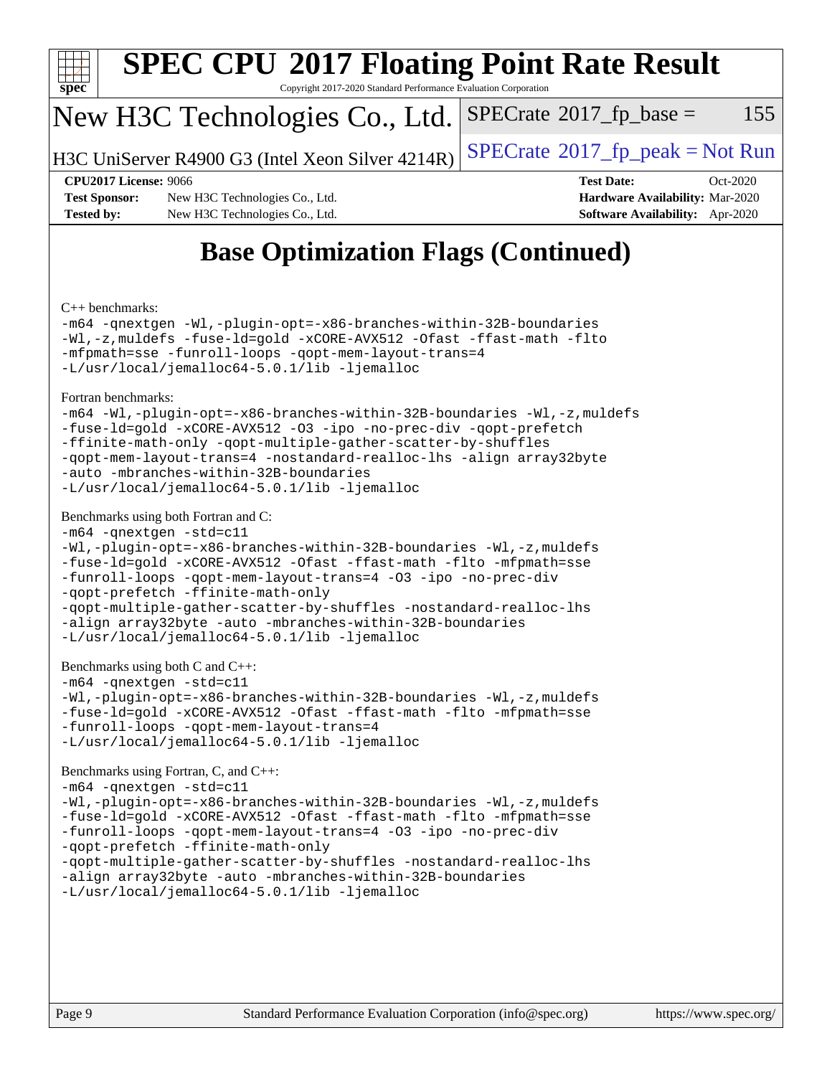

# **[SPEC CPU](http://www.spec.org/auto/cpu2017/Docs/result-fields.html#SPECCPU2017FloatingPointRateResult)[2017 Floating Point Rate Result](http://www.spec.org/auto/cpu2017/Docs/result-fields.html#SPECCPU2017FloatingPointRateResult)**

Copyright 2017-2020 Standard Performance Evaluation Corporation

### New H3C Technologies Co., Ltd.

H3C UniServer R4900 G3 (Intel Xeon Silver  $4214R$ ) [SPECrate](http://www.spec.org/auto/cpu2017/Docs/result-fields.html#SPECrate2017fppeak)®[2017\\_fp\\_peak = N](http://www.spec.org/auto/cpu2017/Docs/result-fields.html#SPECrate2017fppeak)ot Run

 $SPECTate@2017<sub>fp</sub> base =  $155$$ 

**[Test Sponsor:](http://www.spec.org/auto/cpu2017/Docs/result-fields.html#TestSponsor)** New H3C Technologies Co., Ltd. **[Hardware Availability:](http://www.spec.org/auto/cpu2017/Docs/result-fields.html#HardwareAvailability)** Mar-2020 **[Tested by:](http://www.spec.org/auto/cpu2017/Docs/result-fields.html#Testedby)** New H3C Technologies Co., Ltd. **[Software Availability:](http://www.spec.org/auto/cpu2017/Docs/result-fields.html#SoftwareAvailability)** Apr-2020

**[CPU2017 License:](http://www.spec.org/auto/cpu2017/Docs/result-fields.html#CPU2017License)** 9066 **[Test Date:](http://www.spec.org/auto/cpu2017/Docs/result-fields.html#TestDate)** Oct-2020

## **[Base Optimization Flags \(Continued\)](http://www.spec.org/auto/cpu2017/Docs/result-fields.html#BaseOptimizationFlags)**

[C++ benchmarks:](http://www.spec.org/auto/cpu2017/Docs/result-fields.html#CXXbenchmarks)

[-m64](http://www.spec.org/cpu2017/results/res2020q4/cpu2017-20201020-24227.flags.html#user_CXXbase_m64-icc) [-qnextgen](http://www.spec.org/cpu2017/results/res2020q4/cpu2017-20201020-24227.flags.html#user_CXXbase_f-qnextgen) [-Wl,-plugin-opt=-x86-branches-within-32B-boundaries](http://www.spec.org/cpu2017/results/res2020q4/cpu2017-20201020-24227.flags.html#user_CXXbase_f-x86-branches-within-32B-boundaries_0098b4e4317ae60947b7b728078a624952a08ac37a3c797dfb4ffeb399e0c61a9dd0f2f44ce917e9361fb9076ccb15e7824594512dd315205382d84209e912f3) [-Wl,-z,muldefs](http://www.spec.org/cpu2017/results/res2020q4/cpu2017-20201020-24227.flags.html#user_CXXbase_link_force_multiple1_b4cbdb97b34bdee9ceefcfe54f4c8ea74255f0b02a4b23e853cdb0e18eb4525ac79b5a88067c842dd0ee6996c24547a27a4b99331201badda8798ef8a743f577) [-fuse-ld=gold](http://www.spec.org/cpu2017/results/res2020q4/cpu2017-20201020-24227.flags.html#user_CXXbase_f-fuse-ld_920b3586e2b8c6e0748b9c84fa9b744736ba725a32cab14ad8f3d4ad28eecb2f59d1144823d2e17006539a88734fe1fc08fc3035f7676166309105a78aaabc32) [-xCORE-AVX512](http://www.spec.org/cpu2017/results/res2020q4/cpu2017-20201020-24227.flags.html#user_CXXbase_f-xCORE-AVX512) [-Ofast](http://www.spec.org/cpu2017/results/res2020q4/cpu2017-20201020-24227.flags.html#user_CXXbase_f-Ofast) [-ffast-math](http://www.spec.org/cpu2017/results/res2020q4/cpu2017-20201020-24227.flags.html#user_CXXbase_f-ffast-math) [-flto](http://www.spec.org/cpu2017/results/res2020q4/cpu2017-20201020-24227.flags.html#user_CXXbase_f-flto) [-mfpmath=sse](http://www.spec.org/cpu2017/results/res2020q4/cpu2017-20201020-24227.flags.html#user_CXXbase_f-mfpmath_70eb8fac26bde974f8ab713bc9086c5621c0b8d2f6c86f38af0bd7062540daf19db5f3a066d8c6684be05d84c9b6322eb3b5be6619d967835195b93d6c02afa1) [-funroll-loops](http://www.spec.org/cpu2017/results/res2020q4/cpu2017-20201020-24227.flags.html#user_CXXbase_f-funroll-loops) [-qopt-mem-layout-trans=4](http://www.spec.org/cpu2017/results/res2020q4/cpu2017-20201020-24227.flags.html#user_CXXbase_f-qopt-mem-layout-trans_fa39e755916c150a61361b7846f310bcdf6f04e385ef281cadf3647acec3f0ae266d1a1d22d972a7087a248fd4e6ca390a3634700869573d231a252c784941a8) [-L/usr/local/jemalloc64-5.0.1/lib](http://www.spec.org/cpu2017/results/res2020q4/cpu2017-20201020-24227.flags.html#user_CXXbase_jemalloc_link_path64_1_cc289568b1a6c0fd3b62c91b824c27fcb5af5e8098e6ad028160d21144ef1b8aef3170d2acf0bee98a8da324cfe4f67d0a3d0c4cc4673d993d694dc2a0df248b) [-ljemalloc](http://www.spec.org/cpu2017/results/res2020q4/cpu2017-20201020-24227.flags.html#user_CXXbase_jemalloc_link_lib_d1249b907c500fa1c0672f44f562e3d0f79738ae9e3c4a9c376d49f265a04b9c99b167ecedbf6711b3085be911c67ff61f150a17b3472be731631ba4d0471706)

[Fortran benchmarks](http://www.spec.org/auto/cpu2017/Docs/result-fields.html#Fortranbenchmarks):

```
-m64 -Wl,-plugin-opt=-x86-branches-within-32B-boundaries -Wl,-z,muldefs
-fuse-ld=gold -xCORE-AVX512 -O3 -ipo -no-prec-div -qopt-prefetch
-ffinite-math-only -qopt-multiple-gather-scatter-by-shuffles
-qopt-mem-layout-trans=4 -nostandard-realloc-lhs -align array32byte
-auto -mbranches-within-32B-boundaries
-L/usr/local/jemalloc64-5.0.1/lib -ljemalloc
```
#### [Benchmarks using both Fortran and C](http://www.spec.org/auto/cpu2017/Docs/result-fields.html#BenchmarksusingbothFortranandC):

```
-m64 -qnextgen -std=c11
-Wl,-plugin-opt=-x86-branches-within-32B-boundaries -Wl,-z,muldefs
-fuse-ld=gold -xCORE-AVX512 -Ofast -ffast-math -flto -mfpmath=sse
-funroll-loops -qopt-mem-layout-trans=4 -O3 -ipo -no-prec-div
-qopt-prefetch -ffinite-math-only
-qopt-multiple-gather-scatter-by-shuffles -nostandard-realloc-lhs
-align array32byte -auto -mbranches-within-32B-boundaries
-L/usr/local/jemalloc64-5.0.1/lib -ljemalloc
```

```
Benchmarks using both C and C++:
```

```
-m64 -qnextgen -std=c11
```

```
-Wl,-plugin-opt=-x86-branches-within-32B-boundaries -Wl,-z,muldefs
-fuse-ld=gold -xCORE-AVX512 -Ofast -ffast-math -flto -mfpmath=sse
-funroll-loops -qopt-mem-layout-trans=4
-L/usr/local/jemalloc64-5.0.1/lib -ljemalloc
```
[Benchmarks using Fortran, C, and C++:](http://www.spec.org/auto/cpu2017/Docs/result-fields.html#BenchmarksusingFortranCandCXX)

```
-m64 -qnextgen -std=c11
-Wl,-plugin-opt=-x86-branches-within-32B-boundaries -Wl,-z,muldefs
-fuse-ld=gold -xCORE-AVX512 -Ofast -ffast-math -flto -mfpmath=sse
-funroll-loops -qopt-mem-layout-trans=4 -O3 -ipo -no-prec-div
-qopt-prefetch -ffinite-math-only
-qopt-multiple-gather-scatter-by-shuffles -nostandard-realloc-lhs
-align array32byte -auto -mbranches-within-32B-boundaries
-L/usr/local/jemalloc64-5.0.1/lib -ljemalloc
```